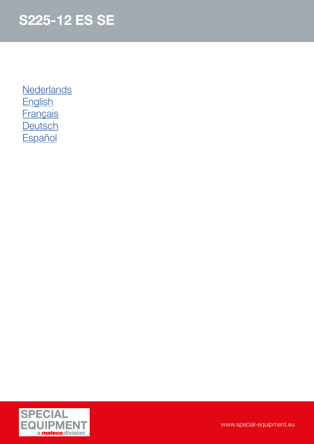**[Nederlands](#page-1-0) [English](#page-2-0) [Français](#page-3-0) [Deutsch](#page-4-0) [Español](#page-5-0)** 

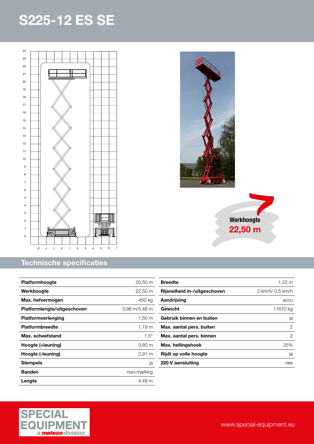<span id="page-1-0"></span>



| <b>Platformhoogte</b>       | $20,50 \; \text{m}$  |
|-----------------------------|----------------------|
| Werkhoogte                  | $22,50 \; \text{m}$  |
| Max. hefvermogen            | 450 kg               |
| Platformlengte/uitgeschoven | 3,98 m/5,48 m        |
| <b>Platformverlenging</b>   | 1,50 m               |
| <b>Platformbreedte</b>      | $1,19 \; \mathrm{m}$ |
| Max. scheefstand            | $1.5^\circ$          |
| Hoogte (+leuning)           | 3,80 m               |
| Hoogte (-leuning)           | $2,91 \; \mathrm{m}$ |
| Stempels                    | ja                   |
| <b>Banden</b>               | non-marking          |
| Lengte                      | 4.49 m               |





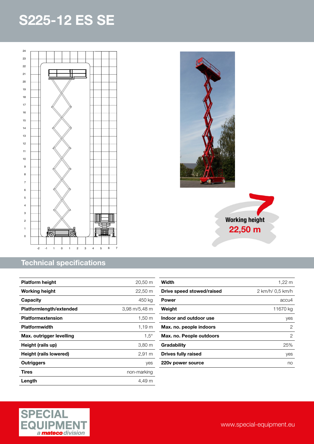<span id="page-2-0"></span>

#### Technical specifications

| <b>Platform height</b>   | 20,50 m              |
|--------------------------|----------------------|
| <b>Working height</b>    | 22,50 m              |
| Capacity                 | 450 ka               |
| Platformlength/extended  | 3,98 m/5,48 m        |
| <b>Platformextension</b> | 1,50 m               |
| <b>Platformwidth</b>     | $1,19 \; \mathrm{m}$ |
| Max. outrigger levelling | $1.5^\circ$          |
| Height (rails up)        | 3,80 m               |
| Height (rails lowered)   | $2,91 \; m$          |
| <b>Outriggers</b>        | yes                  |
| Tires                    | non-marking          |
| Length                   | 4,49 m               |



Working height 22,50 m



www.special-equipment.eu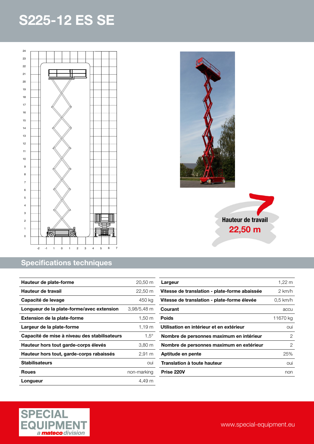<span id="page-3-0"></span>

#### Specifications techniques

| Hauteur de plate-forme                       | 20,50 m     |
|----------------------------------------------|-------------|
| Hauteur de travail                           | 22,50 m     |
| Capacité de levage                           | 450 ka      |
| Longueur de la plate-forme/avec extension    | 3,98/5,48 m |
| <b>Extension de la plate-forme</b>           | 1,50 m      |
| Largeur de la plate-forme                    | $1,19 \; m$ |
| Capacité de mise à niveau des stabilisateurs | $1.5^\circ$ |
| Hauteur hors tout garde-corps élevés         | 3,80 m      |
| Hauteur hors tout, garde-corps rabaissés     | 2,91 m      |
| <b>Stabilisateurs</b>                        | OUİ         |
| <b>Roues</b>                                 | non-marking |
| Longueur                                     | 4.49 m      |





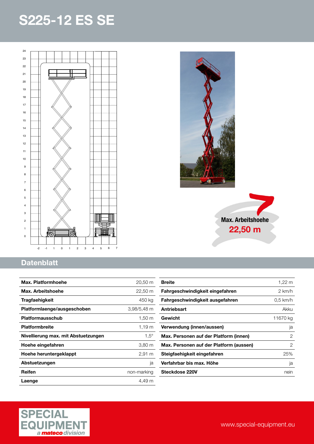<span id="page-4-0"></span>



### **Datenblatt**

| Max. Platformhoehe                  | $20,50 \; \text{m}$  |
|-------------------------------------|----------------------|
| Max. Arbeitshoehe                   | $22,50 \; \text{m}$  |
| Tragfaehigkeit                      | 450 kg               |
| Platformlaenge/ausgeschoben         | 3,98/5,48 m          |
| Platformausschub                    | $1,50 \; \mathrm{m}$ |
| <b>Platformbreite</b>               | $1,19 \; m$          |
| Nivellierung max. mit Abstuetzungen | $1.5^\circ$          |
| Hoehe eingefahren                   | $3,80 \; \mathrm{m}$ |
| Hoehe heruntergeklappt              | $2,91 \; \mathrm{m}$ |
| Abstuetzungen                       | ja                   |
| Reifen                              | non-marking          |
| Laenge                              | 4.49 m               |

| <b>Breite</b>                           | 1,22 m     |
|-----------------------------------------|------------|
| Fahrgeschwindigkeit eingefahren         | 2 km/h     |
| Fahrgeschwindigkeit ausgefahren         | $0.5$ km/h |
| Antriebsart                             | Akku       |
| Gewicht                                 | 11670 kg   |
| Verwendung (innen/aussen)               | ja         |
| Max. Personen auf der Platform (innen)  | 2          |
| Max. Personen auf der Platform (aussen) | 2          |
| Steigfaehigkeit eingefahren             | 25%        |
| Verfahrbar bis max. Höhe                | ja         |
| Steckdose 220V                          | nein       |

Max. Arbeitshoehe 22,50 m